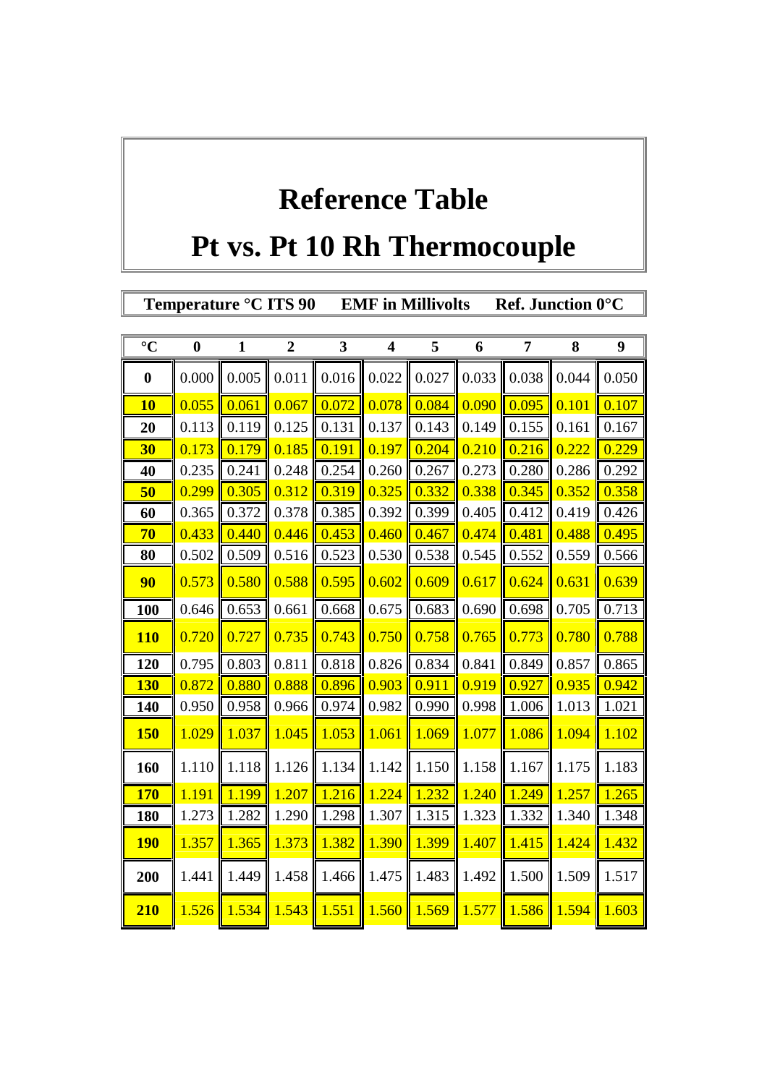## **Reference Table**

## **Pt vs. Pt 10 Rh Thermocouple**

T.

 $\overline{\mathbb{F}}$ 

|                      |                  | Temperature °C ITS 90 |                |       |                         | <b>EMF</b> in Millivolts |       | Ref. Junction 0°C  |       |                  |
|----------------------|------------------|-----------------------|----------------|-------|-------------------------|--------------------------|-------|--------------------|-------|------------------|
|                      |                  |                       |                |       |                         |                          |       |                    |       |                  |
| $\overline{\circ}$ C | $\boldsymbol{0}$ | $\mathbf{1}$          | $\overline{2}$ | 3     | $\overline{\mathbf{4}}$ | 5                        | 6     | 7                  | 8     | $\boldsymbol{9}$ |
| $\boldsymbol{0}$     | 0.000            | 0.005                 | 0.011          | 0.016 | 0.022                   | 0.027                    | 0.033 | 0.038              | 0.044 | 0.050            |
| <b>10</b>            | 0.055            | 0.061                 | 0.067          | 0.072 | 0.078                   | 0.084                    | 0.090 | 0.095              | 0.101 | 0.107            |
| 20                   | 0.113            | 0.119                 | 0.125          | 0.131 | 0.137                   | 0.143                    | 0.149 | 0.155              | 0.161 | 0.167            |
| <b>30</b>            | 0.173            | 0.179                 | 0.185          | 0.191 | 0.197                   | 0.204                    | 0.210 | 0.216              | 0.222 | 0.229            |
| 40                   | 0.235            | 0.241                 | 0.248          | 0.254 | 0.260                   | 0.267                    | 0.273 | 0.280              | 0.286 | 0.292            |
| 50                   | 0.299            | 0.305                 | 0.312          | 0.319 | 0.325                   | 0.332                    | 0.338 | 0.345              | 0.352 | 0.358            |
| 60                   | 0.365            | 0.372                 | 0.378          | 0.385 | 0.392                   | 0.399                    | 0.405 | 0.412              | 0.419 | 0.426            |
| 70                   | 0.433            | 0.440                 | 0.446          | 0.453 | 0.460                   | 0.467                    | 0.474 | 0.481              | 0.488 | 0.495            |
| 80                   | 0.502            | 0.509                 | 0.516          | 0.523 | 0.530                   | 0.538                    | 0.545 | 0.552              | 0.559 | 0.566            |
| 90                   | 0.573            | 0.580                 | 0.588          | 0.595 | 0.602                   | 0.609                    | 0.617 | 0.624              | 0.631 | 0.639            |
| 100                  | 0.646            | 0.653                 | 0.661          | 0.668 | 0.675                   | 0.683                    | 0.690 | 0.698              | 0.705 | 0.713            |
| <b>110</b>           | 0.720            | 0.727                 | 0.735          | 0.743 | 0.750                   | 0.758                    | 0.765 | 0.773              | 0.780 | 0.788            |
| 120                  | 0.795            | 0.803                 | 0.811          | 0.818 | 0.826                   | 0.834                    | 0.841 | 0.849              | 0.857 | 0.865            |
| <b>130</b>           | 0.872            | 0.880                 | 0.888          | 0.896 | 0.903                   | 0.911                    | 0.919 | 0.927              | 0.935 | 0.942            |
| 140                  | 0.950            | 0.958                 | 0.966          | 0.974 | 0.982                   | 0.990                    | 0.998 | 1.006              | 1.013 | 1.021            |
| <b>150</b>           | 1.029            | 1.037                 | 1.045          | 1.053 | 1.061                   | 1.069                    | 1.077 | 1.086              | 1.094 | 1.102            |
| 160                  | 1.110            | 1.118                 | 1.126          | 1.134 | 1.142                   | 1.150                    | 1.158 | 1.167              | 1.175 | 1.183            |
| <b>170</b>           | 1.191            | 1.199                 | 1.207          | 1.216 | 1.224                   | 1.232                    | 1.240 | $\overline{1.249}$ | 1.257 | 1.265            |
| 180                  | 1.273            | 1.282                 | 1.290          | 1.298 | 1.307                   | 1.315                    | 1.323 | 1.332              | 1.340 | 1.348            |
| <b>190</b>           | 1.357            | 1.365                 | 1.373          | 1.382 | 1.390                   | 1.399                    | 1.407 | 1.415              | 1.424 | 1.432            |
| 200                  | 1.441            | 1.449                 | 1.458          | 1.466 | 1.475                   | 1.483                    | 1.492 | 1.500              | 1.509 | 1.517            |
| 210                  | 1.526            | 1.534                 | 1.543          | 1.551 | 1.560                   | 1.569                    | 1.577 | 1.586              | 1.594 | 1.603            |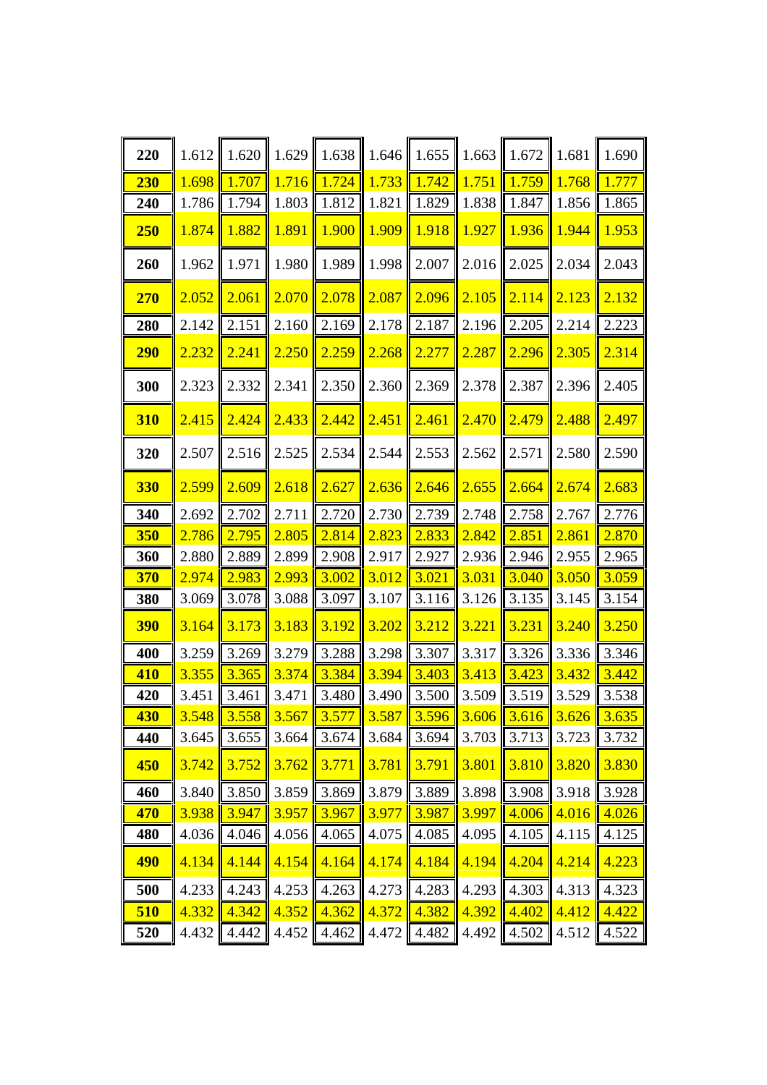| 220        | 1.612 | 1.620 | 1.629                   | 1.638 | 1.646 | 1.655                               | 1.663 | 1.672 | 1.681         | 1.690 |
|------------|-------|-------|-------------------------|-------|-------|-------------------------------------|-------|-------|---------------|-------|
| 230        | 1.698 | 1.707 | 1.716                   | 1.724 | 1.733 | 1.742                               | 1.751 | 1.759 | 1.768         | 1.777 |
| 240        | 1.786 | 1.794 | 1.803                   | 1.812 | 1.821 | 1.829                               | 1.838 | 1.847 | 1.856         | 1.865 |
| 250        | 1.874 | 1.882 | 1.891                   | 1.900 | 1.909 | 1.918                               | 1.927 | 1.936 | 1.944         | 1.953 |
| 260        | 1.962 | 1.971 | 1.980                   | 1.989 | 1.998 | 2.007                               | 2.016 | 2.025 | 2.034         | 2.043 |
| 270        | 2.052 | 2.061 | 2.070                   | 2.078 | 2.087 | 2.096                               | 2.105 | 2.114 | 2.123         | 2.132 |
| 280        | 2.142 | 2.151 | 2.160                   | 2.169 | 2.178 | 2.187                               | 2.196 | 2.205 | 2.214         | 2.223 |
| <b>290</b> | 2.232 | 2.241 | 2.250                   | 2.259 | 2.268 | 2.277                               | 2.287 | 2.296 | 2.305         | 2.314 |
| 300        | 2.323 | 2.332 | 2.341                   | 2.350 | 2.360 | 2.369                               | 2.378 | 2.387 | 2.396         | 2.405 |
| <b>310</b> | 2.415 | 2.424 | 2.433                   | 2.442 | 2.451 | 2.461                               | 2.470 | 2.479 | 2.488         | 2.497 |
| 320        | 2.507 | 2.516 | 2.525                   | 2.534 | 2.544 | 2.553                               | 2.562 | 2.571 | 2.580         | 2.590 |
| <b>330</b> | 2.599 | 2.609 | 2.618                   | 2.627 | 2.636 | 2.646                               | 2.655 | 2.664 | 2.674         | 2.683 |
| 340        | 2.692 | 2.702 | 2.711                   | 2.720 | 2.730 | 2.739                               | 2.748 | 2.758 | 2.767         | 2.776 |
| 350        | 2.786 | 2.795 | 2.805                   | 2.814 | 2.823 | 2.833                               | 2.842 | 2.851 | 2.861         | 2.870 |
| 360        | 2.880 | 2.889 | 2.899                   | 2.908 | 2.917 | 2.927                               | 2.936 | 2.946 | 2.955         | 2.965 |
| 370        | 2.974 | 2.983 | 2.993                   | 3.002 | 3.012 | 3.021                               | 3.031 | 3.040 | 3.050         | 3.059 |
| 380        | 3.069 | 3.078 | 3.088                   | 3.097 | 3.107 | 3.116                               | 3.126 | 3.135 | 3.145         | 3.154 |
| <b>390</b> | 3.164 | 3.173 | 3.183                   | 3.192 | 3.202 | 3.212                               | 3.221 | 3.231 | 3.240         | 3.250 |
| 400        | 3.259 | 3.269 | 3.279                   | 3.288 | 3.298 | 3.307                               | 3.317 | 3.326 | 3.336         | 3.346 |
| <b>410</b> | 3.355 | 3.365 | 3.374                   | 3.384 | 3.394 | 3.403                               | 3.413 | 3.423 | 3.432         | 3.442 |
| 420        | 3.451 | 3.461 | 3.471                   | 3.480 | 3.490 | 3.500                               | 3.509 | 3.519 | 3.529         | 3.538 |
| <b>430</b> | 3.548 |       | $3.558$   3.567   3.577 |       | 3.587 | $\parallel$ 3.596 $\parallel$ 3.606 |       |       | $3.616$ 3.626 | 3.635 |
| 440        | 3.645 | 3.655 | 3.664                   | 3.674 | 3.684 | 3.694                               | 3.703 | 3.713 | 3.723         | 3.732 |
| 450        | 3.742 | 3.752 | 3.762                   | 3.771 | 3.781 | 3.791                               | 3.801 | 3.810 | 3.820         | 3.830 |
| 460        | 3.840 | 3.850 | 3.859                   | 3.869 | 3.879 | 3.889                               | 3.898 | 3.908 | 3.918         | 3.928 |
| 470        | 3.938 | 3.947 | 3.957                   | 3.967 | 3.977 | 3.987                               | 3.997 | 4.006 | 4.016         | 4.026 |
| 480        | 4.036 | 4.046 | 4.056                   | 4.065 | 4.075 | 4.085                               | 4.095 | 4.105 | 4.115         | 4.125 |
| <b>490</b> | 4.134 | 4.144 | 4.154                   | 4.164 | 4.174 | 4.184                               | 4.194 | 4.204 | 4.214         | 4.223 |
| 500        | 4.233 | 4.243 | 4.253                   | 4.263 | 4.273 | 4.283                               | 4.293 | 4.303 | 4.313         | 4.323 |
| 510        | 4.332 | 4.342 | 4.352                   | 4.362 | 4.372 | 4.382                               | 4.392 | 4.402 | 4.412         | 4.422 |
| 520        | 4.432 | 4.442 | 4.452                   | 4.462 | 4.472 | 4.482                               | 4.492 | 4.502 | 4.512         | 4.522 |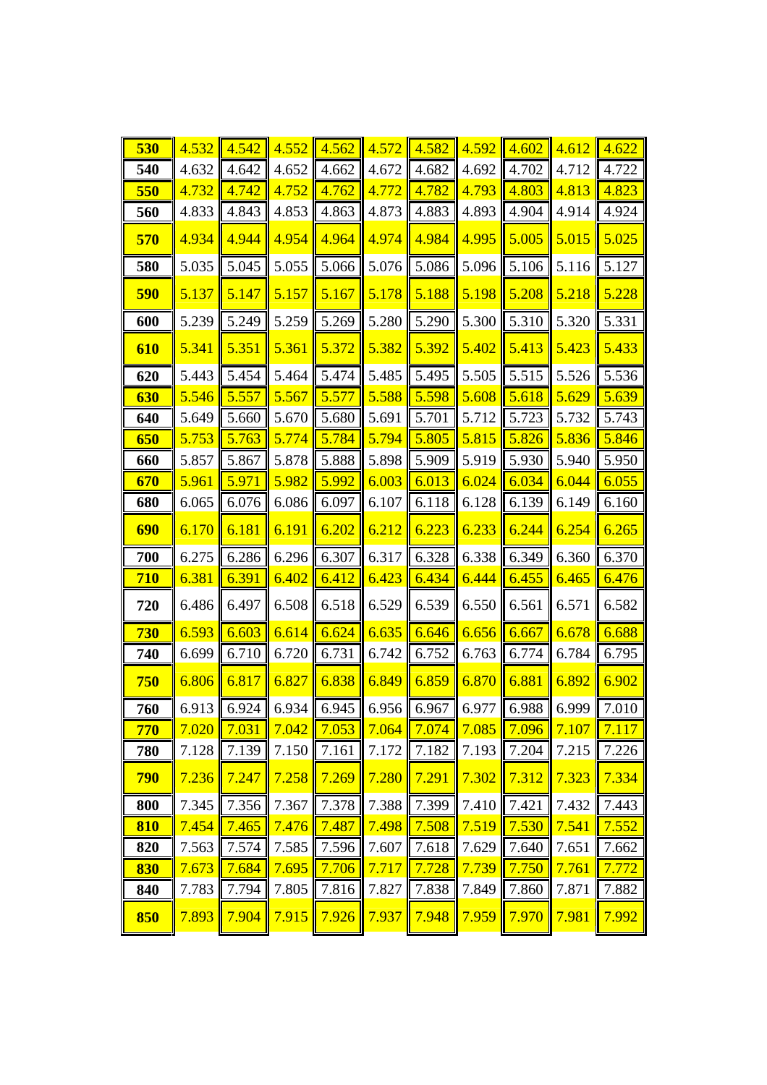| 530        | 4.532 | 4.542                                 | 4.552 | 4.562 | 4.572 | 4.582 | 4.592 | 4.602       | 4.612 | 4.622 |
|------------|-------|---------------------------------------|-------|-------|-------|-------|-------|-------------|-------|-------|
| 540        | 4.632 | 4.642                                 | 4.652 | 4.662 | 4.672 | 4.682 | 4.692 | 4.702       | 4.712 | 4.722 |
| 550        | 4.732 | 4.742                                 | 4.752 | 4.762 | 4.772 | 4.782 | 4.793 | 4.803       | 4.813 | 4.823 |
| 560        | 4.833 | 4.843                                 | 4.853 | 4.863 | 4.873 | 4.883 | 4.893 | 4.904       | 4.914 | 4.924 |
| 570        | 4.934 | 4.944                                 | 4.954 | 4.964 | 4.974 | 4.984 | 4.995 | 5.005       | 5.015 | 5.025 |
| 580        | 5.035 | 5.045                                 | 5.055 | 5.066 | 5.076 | 5.086 | 5.096 | 5.106       | 5.116 | 5.127 |
| 590        | 5.137 | 5.147                                 | 5.157 | 5.167 | 5.178 | 5.188 | 5.198 | 5.208       | 5.218 | 5.228 |
| 600        | 5.239 | 5.249                                 | 5.259 | 5.269 | 5.280 | 5.290 | 5.300 | 5.310       | 5.320 | 5.331 |
| 610        | 5.341 | 5.351                                 | 5.361 | 5.372 | 5.382 | 5.392 | 5.402 | 5.413       | 5.423 | 5.433 |
| 620        | 5.443 | 5.454                                 | 5.464 | 5.474 | 5.485 | 5.495 | 5.505 | 5.515       | 5.526 | 5.536 |
| <b>630</b> | 5.546 | 5.557                                 | 5.567 | 5.577 | 5.588 | 5.598 | 5.608 | 5.618       | 5.629 | 5.639 |
| 640        | 5.649 | 5.660                                 | 5.670 | 5.680 | 5.691 | 5.701 | 5.712 | 5.723       | 5.732 | 5.743 |
| 650        | 5.753 | 5.763                                 | 5.774 | 5.784 | 5.794 | 5.805 | 5.815 | 5.826       | 5.836 | 5.846 |
| 660        | 5.857 | 5.867                                 | 5.878 | 5.888 | 5.898 | 5.909 | 5.919 | 5.930       | 5.940 | 5.950 |
| 670        | 5.961 | 5.971                                 | 5.982 | 5.992 | 6.003 | 6.013 | 6.024 | 6.034       | 6.044 | 6.055 |
| 680        | 6.065 | 6.076                                 | 6.086 | 6.097 | 6.107 | 6.118 | 6.128 | 6.139       | 6.149 | 6.160 |
| 690        | 6.170 | 6.181                                 | 6.191 | 6.202 | 6.212 | 6.223 | 6.233 | 6.244       | 6.254 | 6.265 |
| 700        | 6.275 | 6.286                                 | 6.296 | 6.307 | 6.317 | 6.328 | 6.338 | 6.349       | 6.360 | 6.370 |
| <b>710</b> | 6.381 | 6.391                                 | 6.402 | 6.412 | 6.423 | 6.434 | 6.444 | 6.455       | 6.465 | 6.476 |
| 720        | 6.486 | 6.497                                 | 6.508 | 6.518 | 6.529 | 6.539 | 6.550 | 6.561       | 6.571 | 6.582 |
| 730        | 6.593 | 6.603                                 | 6.614 | 6.624 | 6.635 | 6.646 | 6.656 | 6.667       | 6.678 | 6.688 |
| 740        | 6.699 | 6.710                                 | 6.720 | 6.731 | 6.742 | 6.752 | 6.763 | 6.774       | 6.784 | 6.795 |
| 750        | 6.806 | 6.817                                 | 6.827 | 6.838 | 6.849 | 6.859 | 6.870 | 6.881       | 6.892 | 6.902 |
| 760        |       | $6.913$ 6.924 6.934 6.945 6.956 6.967 |       |       |       |       | 6.977 | 6.988 6.999 |       | 7.010 |
| 770        | 7.020 | 7.031                                 | 7.042 | 7.053 | 7.064 | 7.074 | 7.085 | 7.096       | 7.107 | 7.117 |
| 780        | 7.128 | 7.139                                 | 7.150 | 7.161 | 7.172 | 7.182 | 7.193 | 7.204       | 7.215 | 7.226 |
| 790        | 7.236 | 7.247                                 | 7.258 | 7.269 | 7.280 | 7.291 | 7.302 | 7.312       | 7.323 | 7.334 |
| 800        | 7.345 | 7.356                                 | 7.367 | 7.378 | 7.388 | 7.399 | 7.410 | 7.421       | 7.432 | 7.443 |
| 810        | 7.454 | 7.465                                 | 7.476 | 7.487 | 7.498 | 7.508 | 7.519 | 7.530       | 7.541 | 7.552 |
| 820        | 7.563 | 7.574                                 | 7.585 | 7.596 | 7.607 | 7.618 | 7.629 | 7.640       | 7.651 | 7.662 |
| 830        | 7.673 | 7.684                                 | 7.695 | 7.706 | 7.717 | 7.728 | 7.739 | 7.750       | 7.761 | 7.772 |
| 840        | 7.783 | 7.794                                 | 7.805 | 7.816 | 7.827 | 7.838 | 7.849 | 7.860       | 7.871 | 7.882 |
| 850        | 7.893 | 7.904                                 | 7.915 | 7.926 | 7.937 | 7.948 | 7.959 | 7.970       | 7.981 | 7.992 |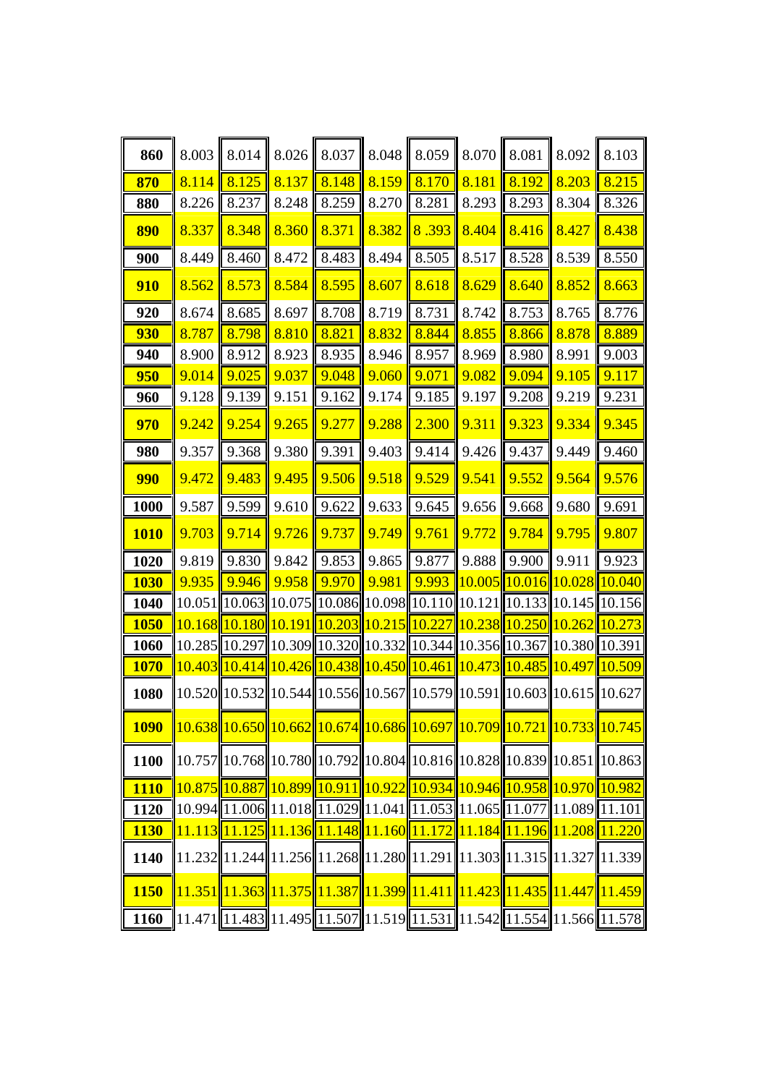| 860         | 8.003 | 8.014 | 8.026 | 8.037 | 8.048 | 8.059                                                                                                                                                      | 8.070  | 8.081 | 8.092                | 8.103                                                                                                                                                      |
|-------------|-------|-------|-------|-------|-------|------------------------------------------------------------------------------------------------------------------------------------------------------------|--------|-------|----------------------|------------------------------------------------------------------------------------------------------------------------------------------------------------|
| 870         | 8.114 | 8.125 | 8.137 | 8.148 | 8.159 | 8.170                                                                                                                                                      | 8.181  | 8.192 | 8.203                | 8.215                                                                                                                                                      |
| 880         | 8.226 | 8.237 | 8.248 | 8.259 | 8.270 | 8.281                                                                                                                                                      | 8.293  | 8.293 | 8.304                | 8.326                                                                                                                                                      |
| 890         | 8.337 | 8.348 | 8.360 | 8.371 | 8.382 | 8.393                                                                                                                                                      | 8.404  | 8.416 | 8.427                | 8.438                                                                                                                                                      |
| 900         | 8.449 | 8.460 | 8.472 | 8.483 | 8.494 | 8.505                                                                                                                                                      | 8.517  | 8.528 | 8.539                | 8.550                                                                                                                                                      |
| <b>910</b>  | 8.562 | 8.573 | 8.584 | 8.595 | 8.607 | 8.618                                                                                                                                                      | 8.629  | 8.640 | 8.852                | 8.663                                                                                                                                                      |
| 920         | 8.674 | 8.685 | 8.697 | 8.708 | 8.719 | 8.731                                                                                                                                                      | 8.742  | 8.753 | 8.765                | 8.776                                                                                                                                                      |
| 930         | 8.787 | 8.798 | 8.810 | 8.821 | 8.832 | 8.844                                                                                                                                                      | 8.855  | 8.866 | 8.878                | 8.889                                                                                                                                                      |
| 940         | 8.900 | 8.912 | 8.923 | 8.935 | 8.946 | 8.957                                                                                                                                                      | 8.969  | 8.980 | 8.991                | 9.003                                                                                                                                                      |
| 950         | 9.014 | 9.025 | 9.037 | 9.048 | 9.060 | 9.071                                                                                                                                                      | 9.082  | 9.094 | 9.105                | 9.117                                                                                                                                                      |
| 960         | 9.128 | 9.139 | 9.151 | 9.162 | 9.174 | 9.185                                                                                                                                                      | 9.197  | 9.208 | 9.219                | 9.231                                                                                                                                                      |
| 970         | 9.242 | 9.254 | 9.265 | 9.277 | 9.288 | 2.300                                                                                                                                                      | 9.311  | 9.323 | 9.334                | 9.345                                                                                                                                                      |
| 980         | 9.357 | 9.368 | 9.380 | 9.391 | 9.403 | 9.414                                                                                                                                                      | 9.426  | 9.437 | 9.449                | 9.460                                                                                                                                                      |
| 990         | 9.472 | 9.483 | 9.495 | 9.506 | 9.518 | 9.529                                                                                                                                                      | 9.541  | 9.552 | 9.564                | 9.576                                                                                                                                                      |
| 1000        | 9.587 | 9.599 | 9.610 | 9.622 | 9.633 | 9.645                                                                                                                                                      | 9.656  | 9.668 | 9.680                | 9.691                                                                                                                                                      |
| <b>1010</b> | 9.703 | 9.714 | 9.726 | 9.737 | 9.749 | 9.761                                                                                                                                                      | 9.772  | 9.784 | 9.795                | 9.807                                                                                                                                                      |
| 1020        | 9.819 | 9.830 | 9.842 | 9.853 | 9.865 | 9.877                                                                                                                                                      | 9.888  | 9.900 | 9.911                | 9.923                                                                                                                                                      |
| <b>1030</b> | 9.935 | 9.946 | 9.958 | 9.970 | 9.981 | 9.993                                                                                                                                                      | 10.005 |       | 10.016 10.028 10.040 |                                                                                                                                                            |
| 1040        |       |       |       |       |       | 10.051  10.063  10.075  10.086  10.098  10.110  10.121  10.133  10.145  10.156                                                                             |        |       |                      |                                                                                                                                                            |
| <b>1050</b> |       |       |       |       |       | 10.168 10.180 10.191 10.203 10.215 10.227 10.238 10.250 10.262                                                                                             |        |       |                      | 10.273                                                                                                                                                     |
| 1060        |       |       |       |       |       | 10.285 10.297 10.309 10.320 10.332 10.344 10.356 10.367 10.380 10.391                                                                                      |        |       |                      |                                                                                                                                                            |
| <b>1070</b> |       |       |       |       |       | 10.403 10.414 10.426 10.438 10.450 10.461 10.473 10.485 10.497 10.509                                                                                      |        |       |                      |                                                                                                                                                            |
| 1080        |       |       |       |       |       | 10.520 10.532 10.544 10.556 10.567 10.579 10.591 10.603 10.615 10.627                                                                                      |        |       |                      |                                                                                                                                                            |
| <b>1090</b> |       |       |       |       |       |                                                                                                                                                            |        |       |                      | $\left  \frac{10.638}{10.650} \right  10.662 \left  10.674 \right  10.686 \left  10.697 \right  10.709 \left  10.721 \right  10.733 \left  10.745 \right $ |
| 1100        |       |       |       |       |       |                                                                                                                                                            |        |       |                      | 10.757  10.768  10.780  10.792  10.804  10.816  10.828  10.839  10.851  10.863                                                                             |
| <b>1110</b> |       |       |       |       |       | 10.875 10.887 10.899 10.911 10.922 10.934 10.946 10.958 10.970 10.982                                                                                      |        |       |                      |                                                                                                                                                            |
| 1120        |       |       |       |       |       | $\left  10.994 \right  11.006 \right  11.018 \left  11.029 \right  11.041 \left  11.053 \right  11.065 \left  11.077 \right  11.089 \left  11.101 \right $ |        |       |                      |                                                                                                                                                            |
| <b>1130</b> |       |       |       |       |       | $11.113$   11.125  11.136  11.148  11.160  11.172  11.184  11.196  11.208  11.220                                                                          |        |       |                      |                                                                                                                                                            |
| 1140        |       |       |       |       |       |                                                                                                                                                            |        |       |                      | $11.232$   11.244  11.256  11.268  11.280  11.291  11.303  11.315  11.327  11.339                                                                          |
| <b>1150</b> |       |       |       |       |       |                                                                                                                                                            |        |       |                      | 11.351  11.363  11.375  11.387  11.399  11.411  11.423  11.435  11.447  11.459                                                                             |
| 1160        |       |       |       |       |       |                                                                                                                                                            |        |       |                      | 11.471 1.483 1.495 1.507 1.519 1.531 1.542 1.554 1.566 1.578                                                                                               |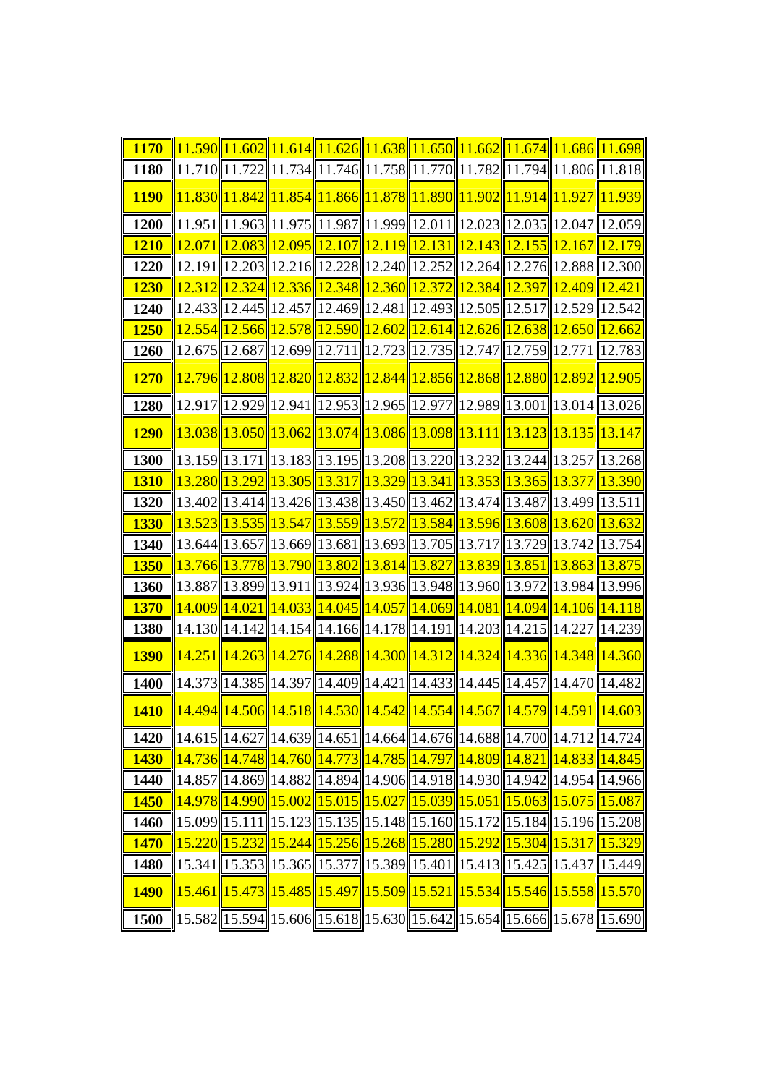| <b>1170</b> |  | $11.590$ 11.602 11.614 11.626 11.638 11.650 11.662 11.674 11.686 11.698                            |  |  |                                                                                   |
|-------------|--|----------------------------------------------------------------------------------------------------|--|--|-----------------------------------------------------------------------------------|
| 1180        |  | $11.710$   11.722  11.734  11.746  11.758  11.770  11.782  11.794  11.806  11.818                  |  |  |                                                                                   |
| <b>1190</b> |  | 11.830 11.842 11.854 11.866 11.878 11.890 11.902 11.914 11.927 11.939                              |  |  |                                                                                   |
| 1200        |  | $11.951$   11.963  11.975  11.987  11.999  12.011  12.023  12.035  12.047  12.059                  |  |  |                                                                                   |
| <b>1210</b> |  | $12.071$ $12.083$ $12.095$ $12.107$ $12.119$ $12.131$ $12.131$ $12.143$ $12.155$ $12.167$ $12.179$ |  |  |                                                                                   |
| 1220        |  | 12.191 12.203 12.216 12.228 12.240 12.252 12.264 12.276 12.888 12.300                              |  |  |                                                                                   |
| <b>1230</b> |  | <u>12.312 12.324 12.336 12.348 12.360 12.372 12.384 12.397 12.409 12.421</u>                       |  |  |                                                                                   |
| 1240        |  | 12.433  12.445  12.457  12.469  12.481  12.493  12.505  12.517  12.529  12.542                     |  |  |                                                                                   |
| <b>1250</b> |  | 12.554  12.566  12.578  12.590  12.602  12.614  12.626  12.638  12.650  12.662                     |  |  |                                                                                   |
| 1260        |  | 12.675  12.687  12.699  12.711  12.723  12.735  12.747  12.759  12.771  12.783                     |  |  |                                                                                   |
| <b>1270</b> |  | <u>12.796 12.808 12.820 12.832 12.844 12.856 12.868 12.880 12.892 12.905</u>                       |  |  |                                                                                   |
| 1280        |  | 12.917 12.929 12.941 12.953 12.965 12.977 12.989 13.001 13.014 13.026                              |  |  |                                                                                   |
| <b>1290</b> |  | 13.038  13.050  13.062  13.074  13.086  13.098  13.111  13.123  13.135  13.147                     |  |  |                                                                                   |
| 1300        |  | 13.159  13.171  13.183  13.195  13.208  13.220  13.232  13.244  13.257  13.268                     |  |  |                                                                                   |
| <b>1310</b> |  | 13.280  13.292  13.305  13.317  13.329  13.341  13.353  13.365  13.377  13.390                     |  |  |                                                                                   |
| 1320        |  | 13.402  13.414  13.426  13.438  13.450  13.462  13.474  13.487  13.499  13.511                     |  |  |                                                                                   |
| <b>1330</b> |  | <u>13.523 13.535 13.547 13.559 13.572 13.584 13.596 13.608 13.620 13.632</u>                       |  |  |                                                                                   |
| <b>1340</b> |  | 13.644 13.657 13.669 13.681 13.693 13.705 13.717 13.729 13.742 13.754                              |  |  |                                                                                   |
| <b>1350</b> |  | 13.766  13.778  13.790  13.802  13.814  13.827  13.839  13.851  13.863  13.875                     |  |  |                                                                                   |
| 1360        |  | 13.887 13.899 13.911 13.924 13.936 13.948 13.960 13.972 13.984 13.996                              |  |  |                                                                                   |
| <b>1370</b> |  | 14.009  14.021  14.033  14.045  14.057  14.069  14.081  14.094  14.106  14.118                     |  |  |                                                                                   |
| 1380        |  | 14.130  14.142  14.154  14.166  14.178  14.191  14.203  14.215  14.227  14.239                     |  |  |                                                                                   |
| <b>1390</b> |  | 14.251  14.263  14.276  14.288  14.300  14.312  14.324  14.336  14.348  14.360                     |  |  |                                                                                   |
| 1400        |  | 14.373  14.385  14.397  14.409  14.421  14.433  14.445  14.457  14.470  14.482                     |  |  |                                                                                   |
| <b>1410</b> |  |                                                                                                    |  |  | $14.494$   14.506  14.518  14.530  14.542  14.554  14.567  14.579  14.591  14.603 |
| 1420        |  |                                                                                                    |  |  | 14.615 14.627 14.639 14.651 14.664 14.676 14.688 14.700 14.712 14.724             |
| <b>1430</b> |  | 14.736 14.748 14.760 14.773 14.785 14.797 14.809 14.821 14.833 14.845                              |  |  |                                                                                   |
| 1440        |  | 14.857  14.869  14.882  14.894  14.906  14.918  14.930  14.942  14.954  14.966                     |  |  |                                                                                   |
| <b>1450</b> |  | <u> 14.978  14.990  15.002  15.015  15.027  15.039  15.051  15.063  15.075  15.087</u>             |  |  |                                                                                   |
| <b>1460</b> |  | 15.099  15.111  15.123  15.135  15.148  15.160  15.172  15.184  15.196  15.208                     |  |  |                                                                                   |
| <b>1470</b> |  | 15.220  15.232  15.244  15.256  15.268  15.280  15.292  15.304  15.317  15.329                     |  |  |                                                                                   |
| 1480        |  | 15.341  15.353  15.365  15.377  15.389  15.401  15.413  15.425  15.437  15.449                     |  |  |                                                                                   |
| <b>1490</b> |  | 15.461  15.473  15.485  15.497  15.509  15.521  15.534  15.546  15.558  15.570                     |  |  |                                                                                   |
| 1500        |  |                                                                                                    |  |  | 15.582  15.594  15.606  15.618  15.630  15.642  15.654  15.666  15.678  15.690    |